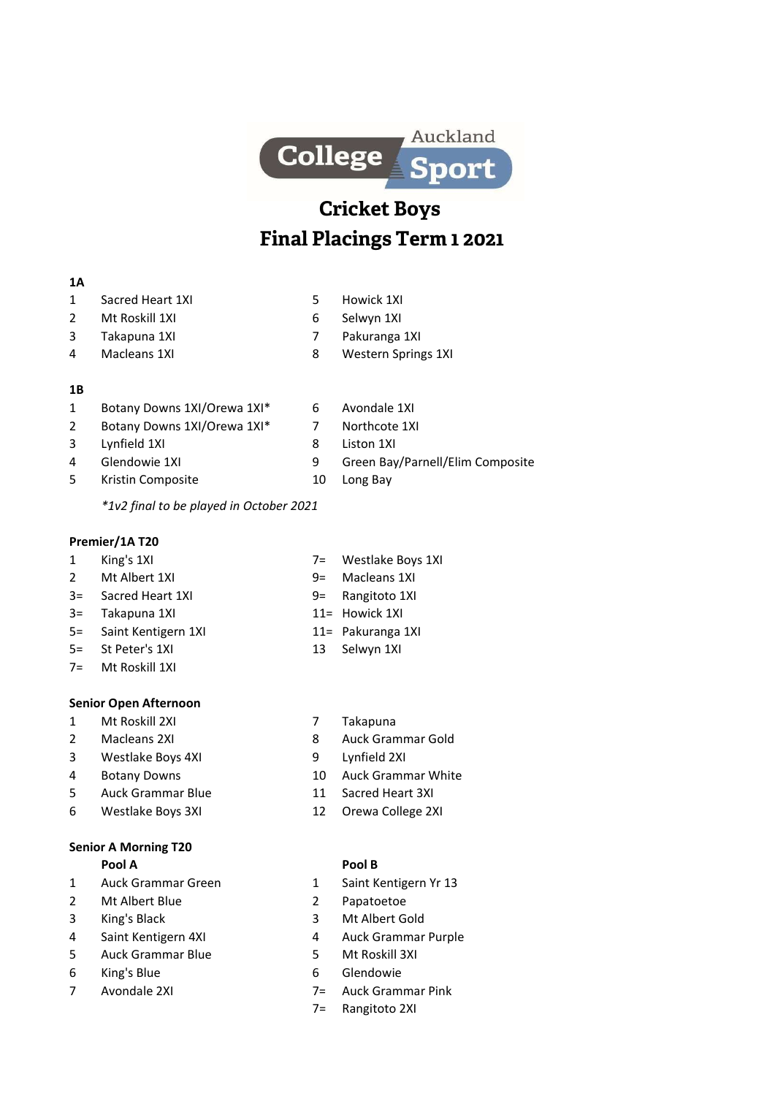

# Cricket Boys Final Placings Term 1 2021

### 1A

- 1 Sacred Heart 1XI 5 Howick 1XI
	-
- 2 Mt Roskill 1XI 6 Selwyn 1XI
- 3 Takapuna 1XI 7 Pakuranga 1XI
- 4 Macleans 1XI 8 Western Springs 1XI

#### 1B

- 1 Botany Downs 1XI/Orewa 1XI<sup>\*</sup> 6 Avondale 1XI
- 2 Botany Downs 1XI/Orewa 1XI<sup>\*</sup> 7 Northcote 1XI
- 3 Lynfield 1XI 8 Liston 1XI
- 
- 5 Kristin Composite 10 Long Bay
- 
- 4 Glendowie 1XI 19 Green Bay/Parnell/Elim Composite
	-

\*1v2 final to be played in October 2021

# Premier/1A T20

- 1 King's 1XI 7= Westlake Boys 1XI
- 2 Mt Albert 1XI 9= Macleans 1XI
- 3= Sacred Heart 1XI 9= Rangitoto 1XI
- 3= Takapuna 1XI 11= Howick 1XI
- 5= Saint Kentigern 1XI 11= Pakuranga 1XI
- 5= St Peter's 1XI 13 Selwyn 1XI
- 7= Mt Roskill 1XI

# Senior Open Afternoon

- 1 Mt Roskill 2XI 7 Takapuna
- 
- 3 Westlake Boys 4XI 9 Lynfield 2XI
- 
- 5 Auck Grammar Blue 11 Sacred Heart 3XI
- 6 Westlake Boys 3XI 12 Orewa College 2XI

# Senior A Morning T20

- 1 Auck Grammar Green 1 Saint Kentigern Yr 13
- 2 Mt Albert Blue 2 Papatoetoe
- 
- 
- 5 Auck Grammar Blue 5 Mt Roskill 3XI
- 
- 
- 
- 2 Macleans 2XI 8 Auck Grammar Gold
	-
- 4 Botany Downs 10 Auck Grammar White
	-
	-

# Pool A Pool B

- 
- 
- 3 King's Black 3 Mt Albert Gold
- 4 Saint Kentigern 4XI 4 Auck Grammar Purple
	-
- 6 King's Blue 6 Glendowie
- 7 Avondale 2XI 7= Auck Grammar Pink
	- 7= Rangitoto 2XI
- 
- 
- 
- 
- 
- 
-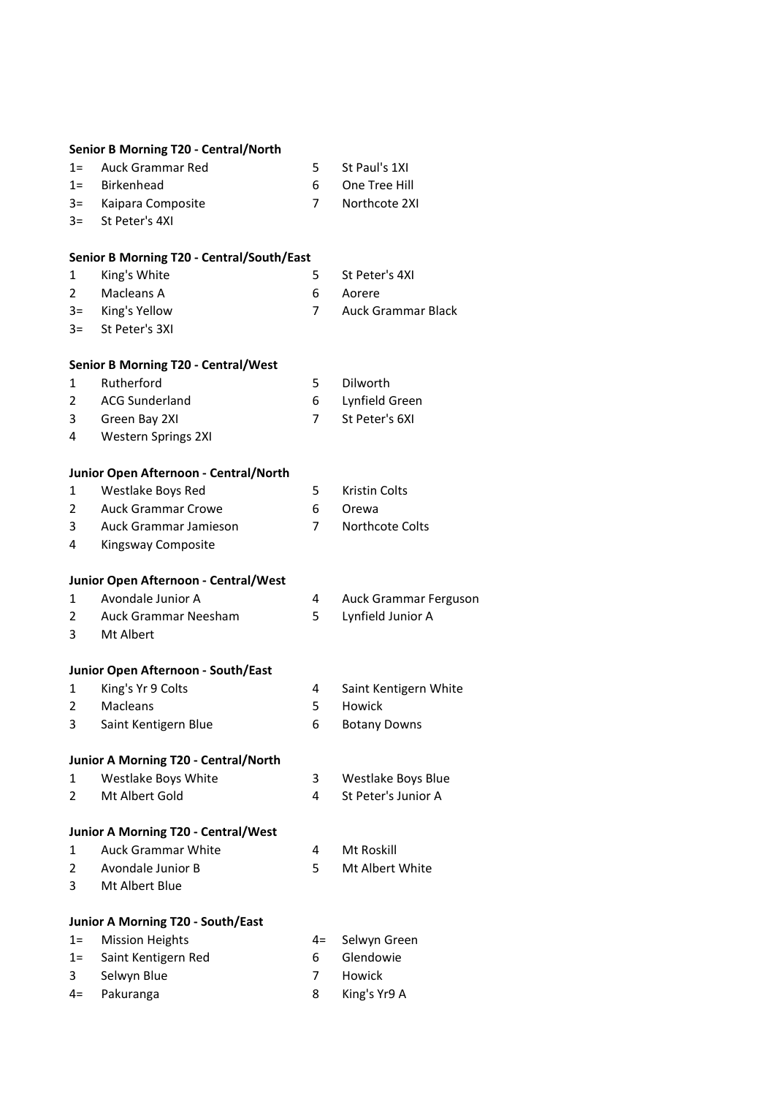#### Senior B Morning T20 - Central/North

| 1= Auck Grammar Red | St Paul's 1XI |
|---------------------|---------------|
|                     |               |

- 1= Birkenhead 6 One Tree Hill
- 3= Kaipara Composite 7 Northcote 2XI
- 3= St Peter's 4XI

#### Senior B Morning T20 - Central/South/East

- 1 King's White 5 St Peter's 4XI
	-
- 2 Macleans A 6 Aorere
- 3= King's Yellow 7 Auck Grammar Black
- 3= St Peter's 3XI

### Senior B Morning T20 - Central/West

- 1 Rutherford 5 Dilworth
- 
- 2 ACG Sunderland 6 Lynfield Green
- 3 Green Bay 2XI 7 St Peter's 6XI
- 4 Western Springs 2XI

#### Junior Open Afternoon - Central/North

|   | Westlake Boys Red     | 5. | Kristin Colts     |
|---|-----------------------|----|-------------------|
|   | 2 Auck Grammar Crowe  |    | 6 Orewa           |
| 3 | Auck Grammar Jamieson |    | 7 Northcote Colts |

4 Kingsway Composite

#### Junior Open Afternoon - Central/West

- 1 Avondale Junior A 4 Auck Grammar Ferguson
- 2 Auck Grammar Neesham 5 Lynfield Junior A
- 3 Mt Albert

#### Junior Open Afternoon - South/East

- 1 King's Yr 9 Colts 1988 1991 12 Saint Kentigern White
- 2 Macleans 5 Howick
- 3 Saint Kentigern Blue 6 Botany Downs
- 

# Junior A Morning T20 - Central/North

| Westlake Boys White | Westlake Boys Blue  |
|---------------------|---------------------|
| Mt Albert Gold      | St Peter's Junior A |

#### Junior A Morning T20 - Central/West

- 1 Auck Grammar White 4 Mt Roskill
- 2 Avondale Junior B 5 Mt Albert White
- 3 Mt Albert Blue

# Junior A Morning T20 - South/East

| 1= Mission Heights      |    | 4= Selwyn Green |
|-------------------------|----|-----------------|
| 1 = Saint Kentigern Red | 6. | Glendowie       |
| 3 Selwyn Blue           |    | Howick          |
|                         |    |                 |

4= Pakuranga 8 King's Yr9 A